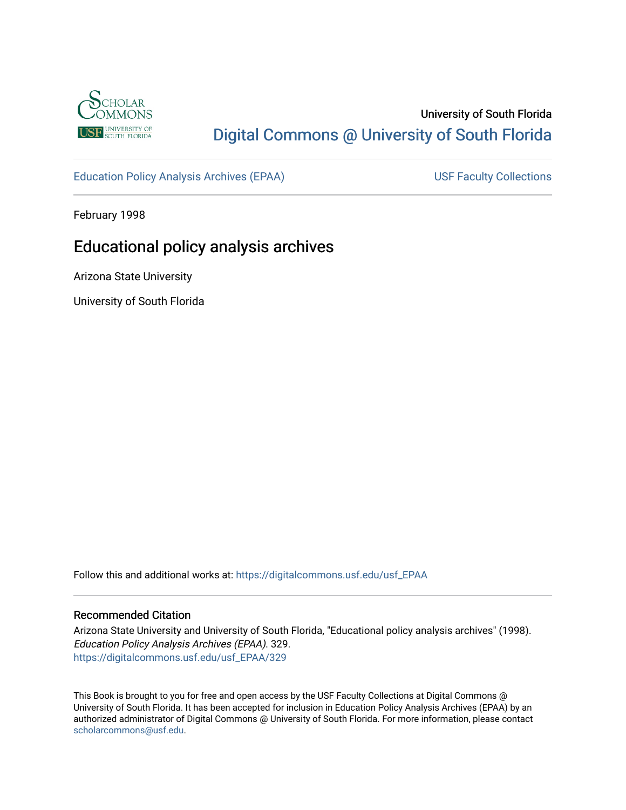

# University of South Florida [Digital Commons @ University of South Florida](https://digitalcommons.usf.edu/)

[Education Policy Analysis Archives \(EPAA\)](https://digitalcommons.usf.edu/usf_EPAA) USF Faculty Collections

February 1998

# Educational policy analysis archives

Arizona State University

University of South Florida

Follow this and additional works at: [https://digitalcommons.usf.edu/usf\\_EPAA](https://digitalcommons.usf.edu/usf_EPAA?utm_source=digitalcommons.usf.edu%2Fusf_EPAA%2F329&utm_medium=PDF&utm_campaign=PDFCoverPages)

## Recommended Citation

Arizona State University and University of South Florida, "Educational policy analysis archives" (1998). Education Policy Analysis Archives (EPAA). 329. [https://digitalcommons.usf.edu/usf\\_EPAA/329](https://digitalcommons.usf.edu/usf_EPAA/329?utm_source=digitalcommons.usf.edu%2Fusf_EPAA%2F329&utm_medium=PDF&utm_campaign=PDFCoverPages)

This Book is brought to you for free and open access by the USF Faculty Collections at Digital Commons @ University of South Florida. It has been accepted for inclusion in Education Policy Analysis Archives (EPAA) by an authorized administrator of Digital Commons @ University of South Florida. For more information, please contact [scholarcommons@usf.edu.](mailto:scholarcommons@usf.edu)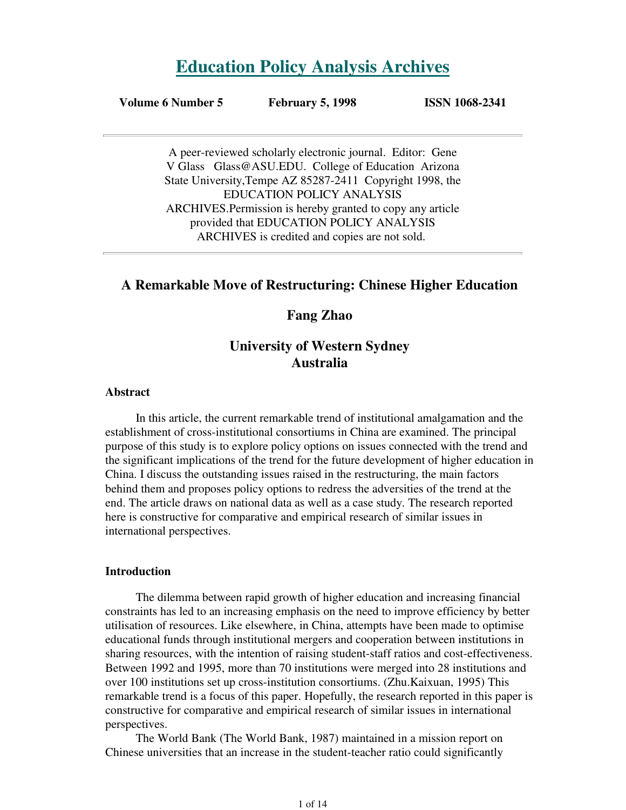# **Education Policy Analysis Archives**

#### **Volume 6 Number 5 February 5, 1998 ISSN 1068-2341**

A peer-reviewed scholarly electronic journal. Editor: Gene V Glass Glass@ASU.EDU. College of Education Arizona State University,Tempe AZ 85287-2411 Copyright 1998, the EDUCATION POLICY ANALYSIS ARCHIVES.Permission is hereby granted to copy any article provided that EDUCATION POLICY ANALYSIS ARCHIVES is credited and copies are not sold.

# **A Remarkable Move of Restructuring: Chinese Higher Education**

# **Fang Zhao**

# **University of Western Sydney Australia**

#### **Abstract**

In this article, the current remarkable trend of institutional amalgamation and the establishment of cross-institutional consortiums in China are examined. The principal purpose of this study is to explore policy options on issues connected with the trend and the significant implications of the trend for the future development of higher education in China. I discuss the outstanding issues raised in the restructuring, the main factors behind them and proposes policy options to redress the adversities of the trend at the end. The article draws on national data as well as a case study. The research reported here is constructive for comparative and empirical research of similar issues in international perspectives.

## **Introduction**

The dilemma between rapid growth of higher education and increasing financial constraints has led to an increasing emphasis on the need to improve efficiency by better utilisation of resources. Like elsewhere, in China, attempts have been made to optimise educational funds through institutional mergers and cooperation between institutions in sharing resources, with the intention of raising student-staff ratios and cost-effectiveness. Between 1992 and 1995, more than 70 institutions were merged into 28 institutions and over 100 institutions set up cross-institution consortiums. (Zhu.Kaixuan, 1995) This remarkable trend is a focus of this paper. Hopefully, the research reported in this paper is constructive for comparative and empirical research of similar issues in international perspectives.

The World Bank (The World Bank, 1987) maintained in a mission report on Chinese universities that an increase in the student-teacher ratio could significantly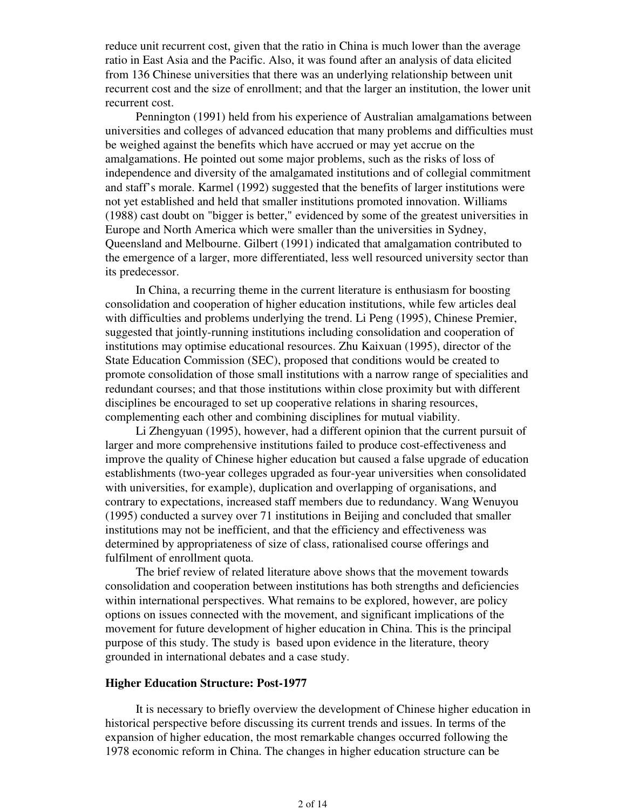reduce unit recurrent cost, given that the ratio in China is much lower than the average ratio in East Asia and the Pacific. Also, it was found after an analysis of data elicited from 136 Chinese universities that there was an underlying relationship between unit recurrent cost and the size of enrollment; and that the larger an institution, the lower unit recurrent cost.

Pennington (1991) held from his experience of Australian amalgamations between universities and colleges of advanced education that many problems and difficulties must be weighed against the benefits which have accrued or may yet accrue on the amalgamations. He pointed out some major problems, such as the risks of loss of independence and diversity of the amalgamated institutions and of collegial commitment and staff's morale. Karmel (1992) suggested that the benefits of larger institutions were not yet established and held that smaller institutions promoted innovation. Williams (1988) cast doubt on "bigger is better," evidenced by some of the greatest universities in Europe and North America which were smaller than the universities in Sydney, Queensland and Melbourne. Gilbert (1991) indicated that amalgamation contributed to the emergence of a larger, more differentiated, less well resourced university sector than its predecessor.

In China, a recurring theme in the current literature is enthusiasm for boosting consolidation and cooperation of higher education institutions, while few articles deal with difficulties and problems underlying the trend. Li Peng (1995), Chinese Premier, suggested that jointly-running institutions including consolidation and cooperation of institutions may optimise educational resources. Zhu Kaixuan (1995), director of the State Education Commission (SEC), proposed that conditions would be created to promote consolidation of those small institutions with a narrow range of specialities and redundant courses; and that those institutions within close proximity but with different disciplines be encouraged to set up cooperative relations in sharing resources, complementing each other and combining disciplines for mutual viability.

Li Zhengyuan (1995), however, had a different opinion that the current pursuit of larger and more comprehensive institutions failed to produce cost-effectiveness and improve the quality of Chinese higher education but caused a false upgrade of education establishments (two-year colleges upgraded as four-year universities when consolidated with universities, for example), duplication and overlapping of organisations, and contrary to expectations, increased staff members due to redundancy. Wang Wenuyou (1995) conducted a survey over 71 institutions in Beijing and concluded that smaller institutions may not be inefficient, and that the efficiency and effectiveness was determined by appropriateness of size of class, rationalised course offerings and fulfilment of enrollment quota.

The brief review of related literature above shows that the movement towards consolidation and cooperation between institutions has both strengths and deficiencies within international perspectives. What remains to be explored, however, are policy options on issues connected with the movement, and significant implications of the movement for future development of higher education in China. This is the principal purpose of this study. The study is based upon evidence in the literature, theory grounded in international debates and a case study.

#### **Higher Education Structure: Post-1977**

It is necessary to briefly overview the development of Chinese higher education in historical perspective before discussing its current trends and issues. In terms of the expansion of higher education, the most remarkable changes occurred following the 1978 economic reform in China. The changes in higher education structure can be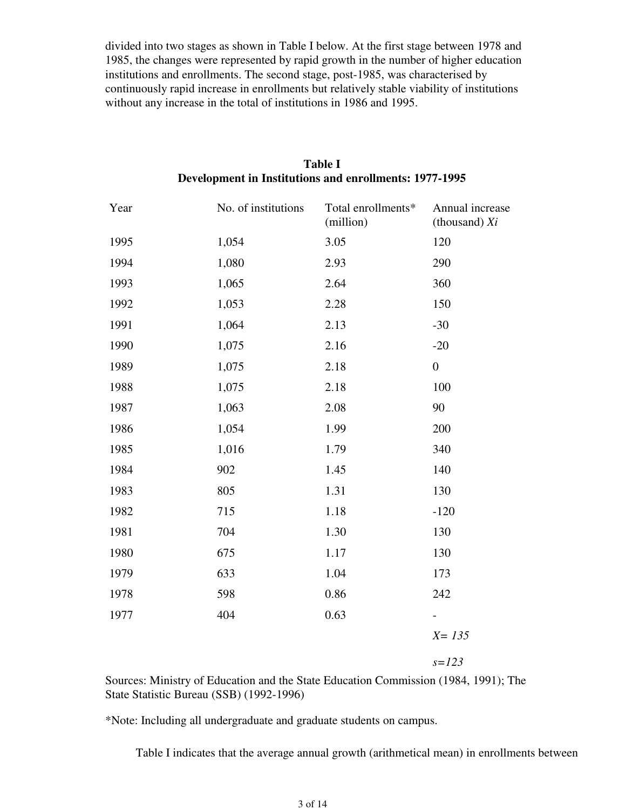divided into two stages as shown in Table I below. At the first stage between 1978 and 1985, the changes were represented by rapid growth in the number of higher education institutions and enrollments. The second stage, post-1985, was characterised by continuously rapid increase in enrollments but relatively stable viability of institutions without any increase in the total of institutions in 1986 and 1995.

| Year | No. of institutions | Total enrollments*<br>(million) | Annual increase<br>(thousand) $Xi$ |
|------|---------------------|---------------------------------|------------------------------------|
| 1995 | 1,054               | 3.05                            | 120                                |
| 1994 | 1,080               | 2.93                            | 290                                |
| 1993 | 1,065               | 2.64                            | 360                                |
| 1992 | 1,053               | 2.28                            | 150                                |
| 1991 | 1,064               | 2.13                            | $-30$                              |
| 1990 | 1,075               | 2.16                            | $-20$                              |
| 1989 | 1,075               | 2.18                            | $\boldsymbol{0}$                   |
| 1988 | 1,075               | 2.18                            | 100                                |
| 1987 | 1,063               | 2.08                            | 90                                 |
| 1986 | 1,054               | 1.99                            | 200                                |
| 1985 | 1,016               | 1.79                            | 340                                |
| 1984 | 902                 | 1.45                            | 140                                |
| 1983 | 805                 | 1.31                            | 130                                |
| 1982 | 715                 | 1.18                            | $-120$                             |
| 1981 | 704                 | 1.30                            | 130                                |
| 1980 | 675                 | $1.17\,$                        | 130                                |
| 1979 | 633                 | 1.04                            | 173                                |
| 1978 | 598                 | 0.86                            | 242                                |
| 1977 | 404                 | 0.63                            |                                    |
|      |                     |                                 | $X = 135$                          |

# **Table I Development in Institutions and enrollments: 1977-1995**

*s=123*

Sources: Ministry of Education and the State Education Commission (1984, 1991); The State Statistic Bureau (SSB) (1992-1996)

\*Note: Including all undergraduate and graduate students on campus.

Table I indicates that the average annual growth (arithmetical mean) in enrollments between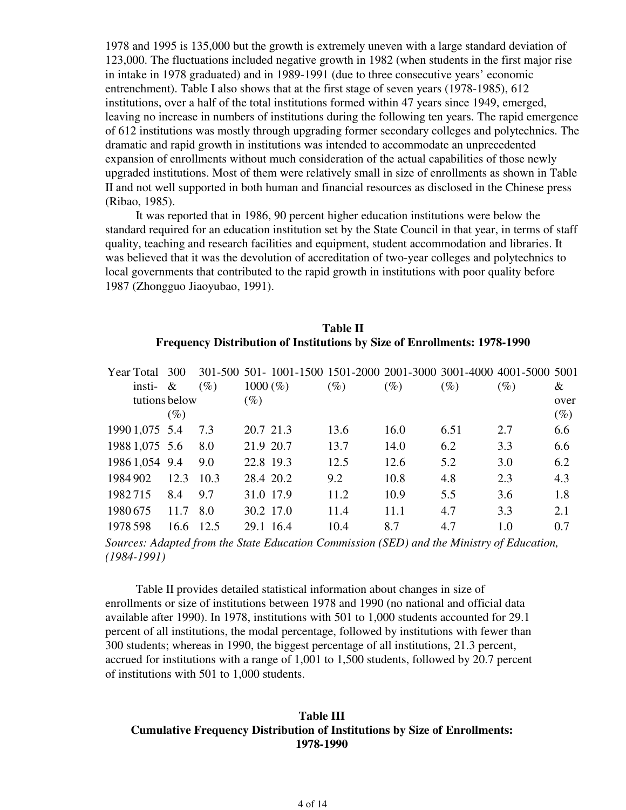1978 and 1995 is 135,000 but the growth is extremely uneven with a large standard deviation of 123,000. The fluctuations included negative growth in 1982 (when students in the first major rise in intake in 1978 graduated) and in 1989-1991 (due to three consecutive years' economic entrenchment). Table I also shows that at the first stage of seven years (1978-1985), 612 institutions, over a half of the total institutions formed within 47 years since 1949, emerged, leaving no increase in numbers of institutions during the following ten years. The rapid emergence of 612 institutions was mostly through upgrading former secondary colleges and polytechnics. The dramatic and rapid growth in institutions was intended to accommodate an unprecedented expansion of enrollments without much consideration of the actual capabilities of those newly upgraded institutions. Most of them were relatively small in size of enrollments as shown in Table II and not well supported in both human and financial resources as disclosed in the Chinese press (Ribao, 1985).

It was reported that in 1986, 90 percent higher education institutions were below the standard required for an education institution set by the State Council in that year, in terms of staff quality, teaching and research facilities and equipment, student accommodation and libraries. It was believed that it was the devolution of accreditation of two-year colleges and polytechnics to local governments that contributed to the rapid growth in institutions with poor quality before 1987 (Zhongguo Jiaoyubao, 1991).

# **Table II Frequency Distribution of Institutions by Size of Enrollments: 1978-1990**

| Year Total 300 |        |        |             |        | 301-500 501- 1001-1500 1501-2000 2001-3000 3001-4000 4001-5000 5001 |        |        |        |
|----------------|--------|--------|-------------|--------|---------------------------------------------------------------------|--------|--------|--------|
| insti-         | $-\&$  | $(\%)$ | $1000 (\%)$ | $(\%)$ | (%)                                                                 | $(\%)$ | $(\%)$ | &      |
| tutions below  |        |        | $(\%)$      |        |                                                                     |        |        | over   |
|                | $(\%)$ |        |             |        |                                                                     |        |        | $(\%)$ |
| 1990 1,075 5.4 |        | 7.3    | 20.7 21.3   | 13.6   | 16.0                                                                | 6.51   | 2.7    | 6.6    |
| 1988 1,075 5.6 |        | 8.0    | 21.9 20.7   | 13.7   | 14.0                                                                | 6.2    | 3.3    | 6.6    |
| 1986 1,054 9.4 |        | 9.0    | 22.8 19.3   | 12.5   | 12.6                                                                | 5.2    | 3.0    | 6.2    |
| 1984 902       | 12.3   | 10.3   | 28.4 20.2   | 9.2    | 10.8                                                                | 4.8    | 2.3    | 4.3    |
| 1982715        | 8.4    | 9.7    | 31.0 17.9   | 11.2   | 10.9                                                                | 5.5    | 3.6    | 1.8    |
| 1980675        | 11.7   | 8.0    | 30.2 17.0   | 11.4   | 11.1                                                                | 4.7    | 3.3    | 2.1    |
| 1978 598       | 16.6   | 12.5   | 29.1 16.4   | 10.4   | 8.7                                                                 | 4.7    | 1.0    | 0.7    |

*Sources: Adapted from the State Education Commission (SED) and the Ministry of Education, (1984-1991)*

Table II provides detailed statistical information about changes in size of enrollments or size of institutions between 1978 and 1990 (no national and official data available after 1990). In 1978, institutions with 501 to 1,000 students accounted for 29.1 percent of all institutions, the modal percentage, followed by institutions with fewer than 300 students; whereas in 1990, the biggest percentage of all institutions, 21.3 percent, accrued for institutions with a range of 1,001 to 1,500 students, followed by 20.7 percent of institutions with 501 to 1,000 students.

# **Table III Cumulative Frequency Distribution of Institutions by Size of Enrollments: 1978-1990**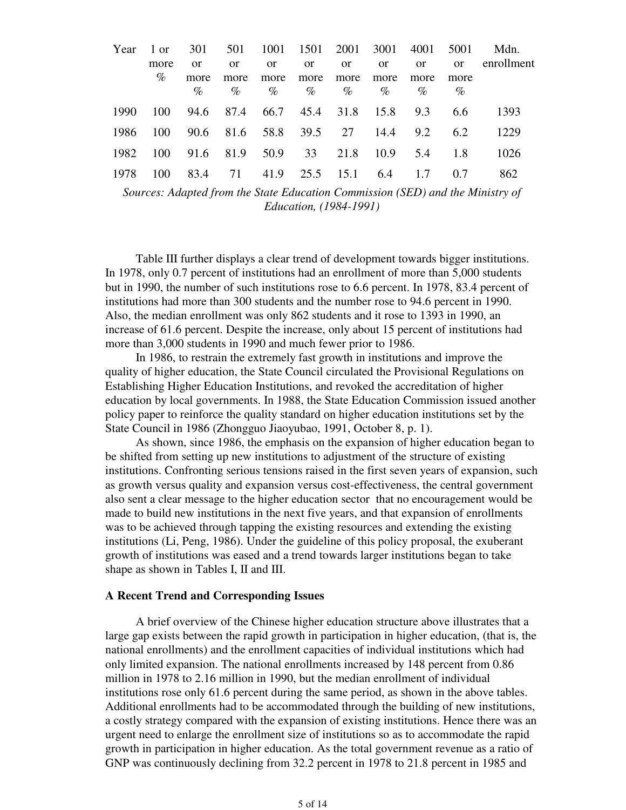| Year | l or |      | 301 501 1001 1501 2001 3001 4001    |      |               |               |               |               | 5001     | Mdn.       |
|------|------|------|-------------------------------------|------|---------------|---------------|---------------|---------------|----------|------------|
|      | more | 0r   | 0r                                  | 0r   | <sub>or</sub> | <sub>or</sub> | <sub>or</sub> | $\alpha$      | $\alpha$ | enrollment |
|      | $\%$ | more | more                                | more | more          | more          | more          | more          | more     |            |
|      |      | $\%$ | $\%$                                | $\%$ |               | $\%$ %        | $\%$          | $\%$          | $\%$     |            |
| 1990 | 100  |      | 94.6 87.4 66.7 45.4 31.8 15.8 9.3   |      |               |               |               |               | -6.6     | 1393       |
| 1986 | 100  |      | 90.6 81.6 58.8 39.5 27 14.4 9.2 6.2 |      |               |               |               |               |          | 1229       |
| 1982 | 100  |      | 91.6 81.9 50.9 33                   |      |               |               |               | 21.8 10.9 5.4 | -1.8     | 1026       |
| 1978 | 100  | 83.4 | 71                                  | 41.9 | 25.5 15.1 6.4 |               |               | 1.7           | 0.7      | 862        |

*Sources: Adapted from the State Education Commission (SED) and the Ministry of Education, (1984-1991)*

Table III further displays a clear trend of development towards bigger institutions. In 1978, only 0.7 percent of institutions had an enrollment of more than 5,000 students but in 1990, the number of such institutions rose to 6.6 percent. In 1978, 83.4 percent of institutions had more than 300 students and the number rose to 94.6 percent in 1990. Also, the median enrollment was only 862 students and it rose to 1393 in 1990, an increase of 61.6 percent. Despite the increase, only about 15 percent of institutions had more than 3,000 students in 1990 and much fewer prior to 1986.

In 1986, to restrain the extremely fast growth in institutions and improve the quality of higher education, the State Council circulated the Provisional Regulations on Establishing Higher Education Institutions, and revoked the accreditation of higher education by local governments. In 1988, the State Education Commission issued another policy paper to reinforce the quality standard on higher education institutions set by the State Council in 1986 (Zhongguo Jiaoyubao, 1991, October 8, p. 1).

As shown, since 1986, the emphasis on the expansion of higher education began to be shifted from setting up new institutions to adjustment of the structure of existing institutions. Confronting serious tensions raised in the first seven years of expansion, such as growth versus quality and expansion versus cost-effectiveness, the central government also sent a clear message to the higher education sector that no encouragement would be made to build new institutions in the next five years, and that expansion of enrollments was to be achieved through tapping the existing resources and extending the existing institutions (Li, Peng, 1986). Under the guideline of this policy proposal, the exuberant growth of institutions was eased and a trend towards larger institutions began to take shape as shown in Tables I, II and III.

#### **A Recent Trend and Corresponding Issues**

A brief overview of the Chinese higher education structure above illustrates that a large gap exists between the rapid growth in participation in higher education, (that is, the national enrollments) and the enrollment capacities of individual institutions which had only limited expansion. The national enrollments increased by 148 percent from 0.86 million in 1978 to 2.16 million in 1990, but the median enrollment of individual institutions rose only 61.6 percent during the same period, as shown in the above tables. Additional enrollments had to be accommodated through the building of new institutions, a costly strategy compared with the expansion of existing institutions. Hence there was an urgent need to enlarge the enrollment size of institutions so as to accommodate the rapid growth in participation in higher education. As the total government revenue as a ratio of GNP was continuously declining from 32.2 percent in 1978 to 21.8 percent in 1985 and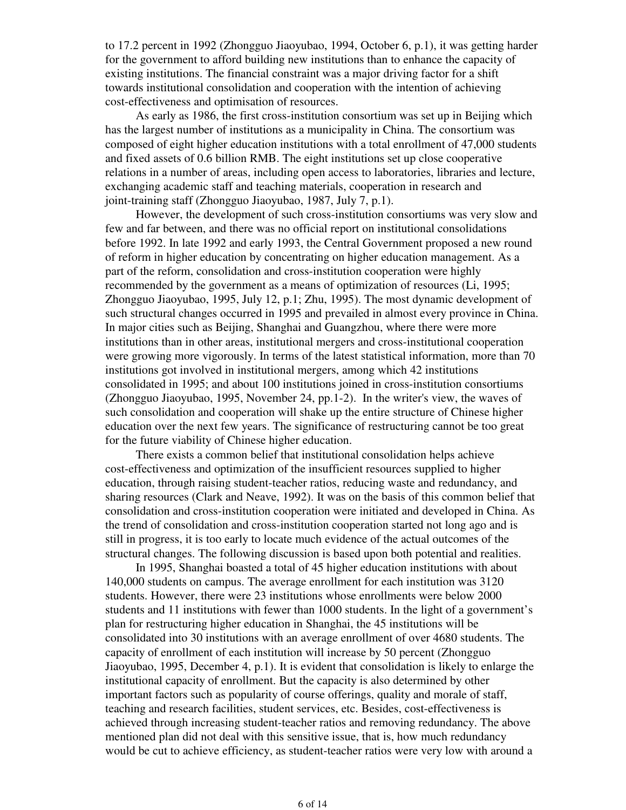to 17.2 percent in 1992 (Zhongguo Jiaoyubao, 1994, October 6, p.1), it was getting harder for the government to afford building new institutions than to enhance the capacity of existing institutions. The financial constraint was a major driving factor for a shift towards institutional consolidation and cooperation with the intention of achieving cost-effectiveness and optimisation of resources.

As early as 1986, the first cross-institution consortium was set up in Beijing which has the largest number of institutions as a municipality in China. The consortium was composed of eight higher education institutions with a total enrollment of 47,000 students and fixed assets of 0.6 billion RMB. The eight institutions set up close cooperative relations in a number of areas, including open access to laboratories, libraries and lecture, exchanging academic staff and teaching materials, cooperation in research and joint-training staff (Zhongguo Jiaoyubao, 1987, July 7, p.1).

However, the development of such cross-institution consortiums was very slow and few and far between, and there was no official report on institutional consolidations before 1992. In late 1992 and early 1993, the Central Government proposed a new round of reform in higher education by concentrating on higher education management. As a part of the reform, consolidation and cross-institution cooperation were highly recommended by the government as a means of optimization of resources (Li, 1995; Zhongguo Jiaoyubao, 1995, July 12, p.1; Zhu, 1995). The most dynamic development of such structural changes occurred in 1995 and prevailed in almost every province in China. In major cities such as Beijing, Shanghai and Guangzhou, where there were more institutions than in other areas, institutional mergers and cross-institutional cooperation were growing more vigorously. In terms of the latest statistical information, more than 70 institutions got involved in institutional mergers, among which 42 institutions consolidated in 1995; and about 100 institutions joined in cross-institution consortiums (Zhongguo Jiaoyubao, 1995, November 24, pp.1-2). In the writer's view, the waves of such consolidation and cooperation will shake up the entire structure of Chinese higher education over the next few years. The significance of restructuring cannot be too great for the future viability of Chinese higher education.

There exists a common belief that institutional consolidation helps achieve cost-effectiveness and optimization of the insufficient resources supplied to higher education, through raising student-teacher ratios, reducing waste and redundancy, and sharing resources (Clark and Neave, 1992). It was on the basis of this common belief that consolidation and cross-institution cooperation were initiated and developed in China. As the trend of consolidation and cross-institution cooperation started not long ago and is still in progress, it is too early to locate much evidence of the actual outcomes of the structural changes. The following discussion is based upon both potential and realities.

In 1995, Shanghai boasted a total of 45 higher education institutions with about 140,000 students on campus. The average enrollment for each institution was 3120 students. However, there were 23 institutions whose enrollments were below 2000 students and 11 institutions with fewer than 1000 students. In the light of a government's plan for restructuring higher education in Shanghai, the 45 institutions will be consolidated into 30 institutions with an average enrollment of over 4680 students. The capacity of enrollment of each institution will increase by 50 percent (Zhongguo Jiaoyubao, 1995, December 4, p.1). It is evident that consolidation is likely to enlarge the institutional capacity of enrollment. But the capacity is also determined by other important factors such as popularity of course offerings, quality and morale of staff, teaching and research facilities, student services, etc. Besides, cost-effectiveness is achieved through increasing student-teacher ratios and removing redundancy. The above mentioned plan did not deal with this sensitive issue, that is, how much redundancy would be cut to achieve efficiency, as student-teacher ratios were very low with around a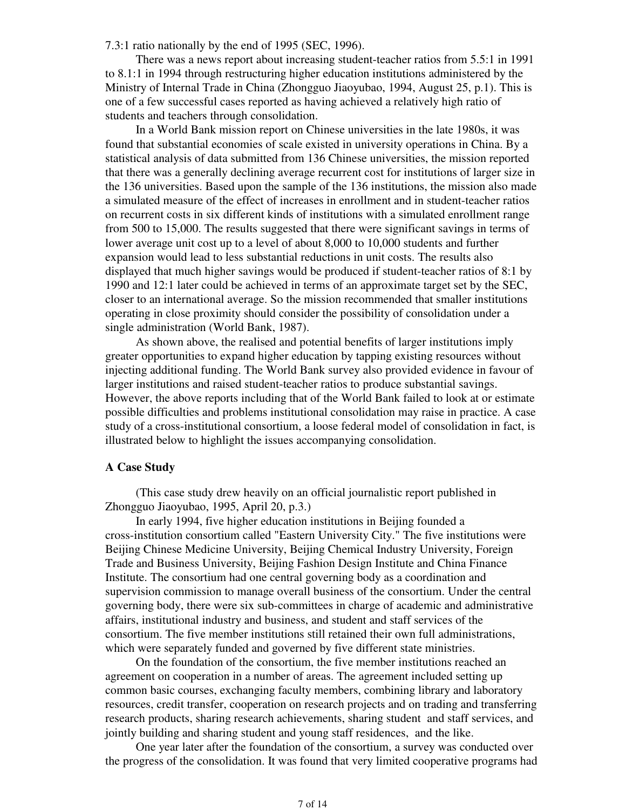7.3:1 ratio nationally by the end of 1995 (SEC, 1996).

There was a news report about increasing student-teacher ratios from 5.5:1 in 1991 to 8.1:1 in 1994 through restructuring higher education institutions administered by the Ministry of Internal Trade in China (Zhongguo Jiaoyubao, 1994, August 25, p.1). This is one of a few successful cases reported as having achieved a relatively high ratio of students and teachers through consolidation.

In a World Bank mission report on Chinese universities in the late 1980s, it was found that substantial economies of scale existed in university operations in China. By a statistical analysis of data submitted from 136 Chinese universities, the mission reported that there was a generally declining average recurrent cost for institutions of larger size in the 136 universities. Based upon the sample of the 136 institutions, the mission also made a simulated measure of the effect of increases in enrollment and in student-teacher ratios on recurrent costs in six different kinds of institutions with a simulated enrollment range from 500 to 15,000. The results suggested that there were significant savings in terms of lower average unit cost up to a level of about 8,000 to 10,000 students and further expansion would lead to less substantial reductions in unit costs. The results also displayed that much higher savings would be produced if student-teacher ratios of 8:1 by 1990 and 12:1 later could be achieved in terms of an approximate target set by the SEC, closer to an international average. So the mission recommended that smaller institutions operating in close proximity should consider the possibility of consolidation under a single administration (World Bank, 1987).

As shown above, the realised and potential benefits of larger institutions imply greater opportunities to expand higher education by tapping existing resources without injecting additional funding. The World Bank survey also provided evidence in favour of larger institutions and raised student-teacher ratios to produce substantial savings. However, the above reports including that of the World Bank failed to look at or estimate possible difficulties and problems institutional consolidation may raise in practice. A case study of a cross-institutional consortium, a loose federal model of consolidation in fact, is illustrated below to highlight the issues accompanying consolidation.

## **A Case Study**

(This case study drew heavily on an official journalistic report published in Zhongguo Jiaoyubao, 1995, April 20, p.3.)

In early 1994, five higher education institutions in Beijing founded a cross-institution consortium called "Eastern University City." The five institutions were Beijing Chinese Medicine University, Beijing Chemical Industry University, Foreign Trade and Business University, Beijing Fashion Design Institute and China Finance Institute. The consortium had one central governing body as a coordination and supervision commission to manage overall business of the consortium. Under the central governing body, there were six sub-committees in charge of academic and administrative affairs, institutional industry and business, and student and staff services of the consortium. The five member institutions still retained their own full administrations, which were separately funded and governed by five different state ministries.

On the foundation of the consortium, the five member institutions reached an agreement on cooperation in a number of areas. The agreement included setting up common basic courses, exchanging faculty members, combining library and laboratory resources, credit transfer, cooperation on research projects and on trading and transferring research products, sharing research achievements, sharing student and staff services, and jointly building and sharing student and young staff residences, and the like.

One year later after the foundation of the consortium, a survey was conducted over the progress of the consolidation. It was found that very limited cooperative programs had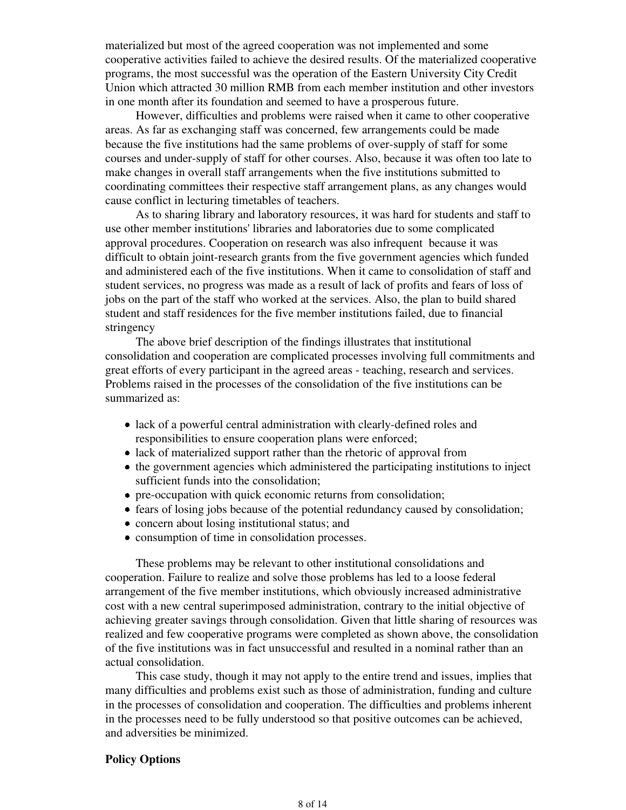materialized but most of the agreed cooperation was not implemented and some cooperative activities failed to achieve the desired results. Of the materialized cooperative programs, the most successful was the operation of the Eastern University City Credit Union which attracted 30 million RMB from each member institution and other investors in one month after its foundation and seemed to have a prosperous future.

However, difficulties and problems were raised when it came to other cooperative areas. As far as exchanging staff was concerned, few arrangements could be made because the five institutions had the same problems of over-supply of staff for some courses and under-supply of staff for other courses. Also, because it was often too late to make changes in overall staff arrangements when the five institutions submitted to coordinating committees their respective staff arrangement plans, as any changes would cause conflict in lecturing timetables of teachers.

As to sharing library and laboratory resources, it was hard for students and staff to use other member institutions' libraries and laboratories due to some complicated approval procedures. Cooperation on research was also infrequent because it was difficult to obtain joint-research grants from the five government agencies which funded and administered each of the five institutions. When it came to consolidation of staff and student services, no progress was made as a result of lack of profits and fears of loss of jobs on the part of the staff who worked at the services. Also, the plan to build shared student and staff residences for the five member institutions failed, due to financial stringency

The above brief description of the findings illustrates that institutional consolidation and cooperation are complicated processes involving full commitments and great efforts of every participant in the agreed areas - teaching, research and services. Problems raised in the processes of the consolidation of the five institutions can be summarized as:

- lack of a powerful central administration with clearly-defined roles and responsibilities to ensure cooperation plans were enforced;
- lack of materialized support rather than the rhetoric of approval from
- the government agencies which administered the participating institutions to inject sufficient funds into the consolidation;
- pre-occupation with quick economic returns from consolidation;
- fears of losing jobs because of the potential redundancy caused by consolidation;
- concern about losing institutional status; and
- consumption of time in consolidation processes.

These problems may be relevant to other institutional consolidations and cooperation. Failure to realize and solve those problems has led to a loose federal arrangement of the five member institutions, which obviously increased administrative cost with a new central superimposed administration, contrary to the initial objective of achieving greater savings through consolidation. Given that little sharing of resources was realized and few cooperative programs were completed as shown above, the consolidation of the five institutions was in fact unsuccessful and resulted in a nominal rather than an actual consolidation.

This case study, though it may not apply to the entire trend and issues, implies that many difficulties and problems exist such as those of administration, funding and culture in the processes of consolidation and cooperation. The difficulties and problems inherent in the processes need to be fully understood so that positive outcomes can be achieved, and adversities be minimized.

## **Policy Options**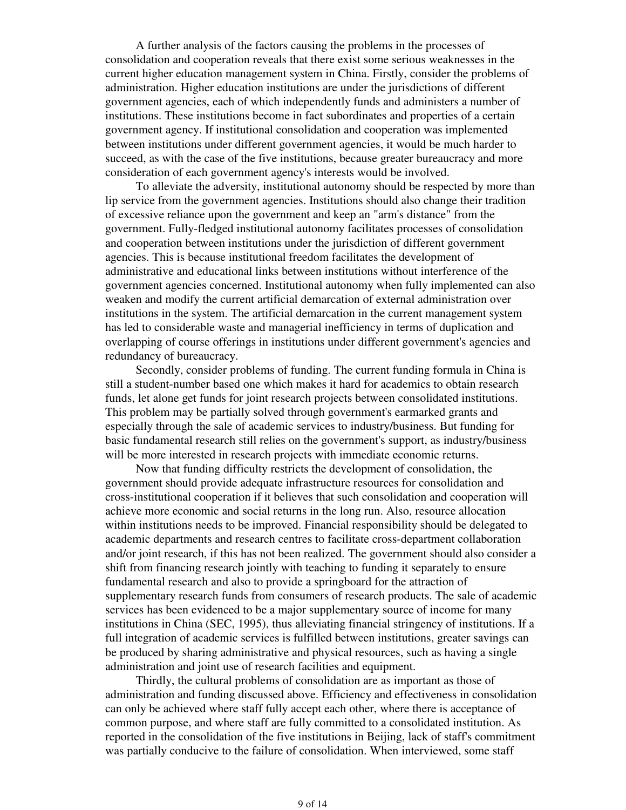A further analysis of the factors causing the problems in the processes of consolidation and cooperation reveals that there exist some serious weaknesses in the current higher education management system in China. Firstly, consider the problems of administration. Higher education institutions are under the jurisdictions of different government agencies, each of which independently funds and administers a number of institutions. These institutions become in fact subordinates and properties of a certain government agency. If institutional consolidation and cooperation was implemented between institutions under different government agencies, it would be much harder to succeed, as with the case of the five institutions, because greater bureaucracy and more consideration of each government agency's interests would be involved.

To alleviate the adversity, institutional autonomy should be respected by more than lip service from the government agencies. Institutions should also change their tradition of excessive reliance upon the government and keep an "arm's distance" from the government. Fully-fledged institutional autonomy facilitates processes of consolidation and cooperation between institutions under the jurisdiction of different government agencies. This is because institutional freedom facilitates the development of administrative and educational links between institutions without interference of the government agencies concerned. Institutional autonomy when fully implemented can also weaken and modify the current artificial demarcation of external administration over institutions in the system. The artificial demarcation in the current management system has led to considerable waste and managerial inefficiency in terms of duplication and overlapping of course offerings in institutions under different government's agencies and redundancy of bureaucracy.

Secondly, consider problems of funding. The current funding formula in China is still a student-number based one which makes it hard for academics to obtain research funds, let alone get funds for joint research projects between consolidated institutions. This problem may be partially solved through government's earmarked grants and especially through the sale of academic services to industry/business. But funding for basic fundamental research still relies on the government's support, as industry/business will be more interested in research projects with immediate economic returns.

Now that funding difficulty restricts the development of consolidation, the government should provide adequate infrastructure resources for consolidation and cross-institutional cooperation if it believes that such consolidation and cooperation will achieve more economic and social returns in the long run. Also, resource allocation within institutions needs to be improved. Financial responsibility should be delegated to academic departments and research centres to facilitate cross-department collaboration and/or joint research, if this has not been realized. The government should also consider a shift from financing research jointly with teaching to funding it separately to ensure fundamental research and also to provide a springboard for the attraction of supplementary research funds from consumers of research products. The sale of academic services has been evidenced to be a major supplementary source of income for many institutions in China (SEC, 1995), thus alleviating financial stringency of institutions. If a full integration of academic services is fulfilled between institutions, greater savings can be produced by sharing administrative and physical resources, such as having a single administration and joint use of research facilities and equipment.

Thirdly, the cultural problems of consolidation are as important as those of administration and funding discussed above. Efficiency and effectiveness in consolidation can only be achieved where staff fully accept each other, where there is acceptance of common purpose, and where staff are fully committed to a consolidated institution. As reported in the consolidation of the five institutions in Beijing, lack of staff's commitment was partially conducive to the failure of consolidation. When interviewed, some staff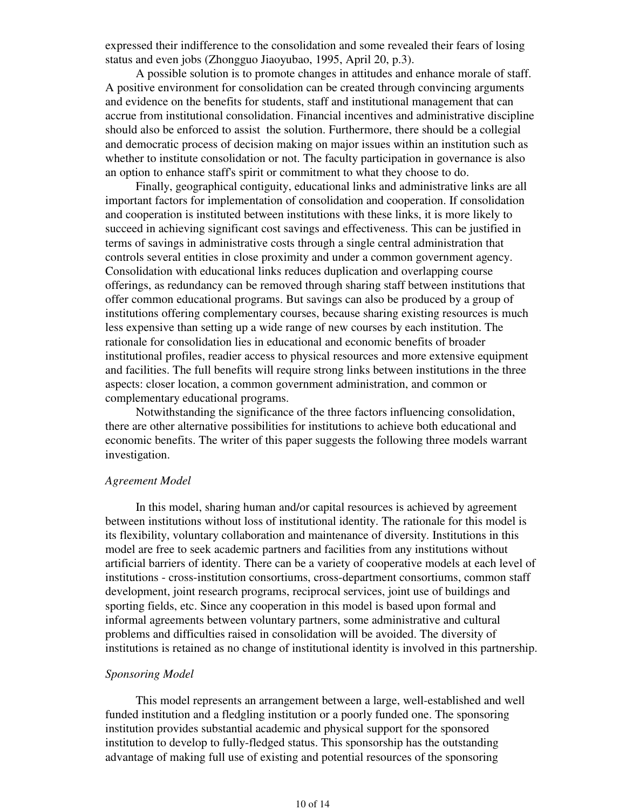expressed their indifference to the consolidation and some revealed their fears of losing status and even jobs (Zhongguo Jiaoyubao, 1995, April 20, p.3).

A possible solution is to promote changes in attitudes and enhance morale of staff. A positive environment for consolidation can be created through convincing arguments and evidence on the benefits for students, staff and institutional management that can accrue from institutional consolidation. Financial incentives and administrative discipline should also be enforced to assist the solution. Furthermore, there should be a collegial and democratic process of decision making on major issues within an institution such as whether to institute consolidation or not. The faculty participation in governance is also an option to enhance staff's spirit or commitment to what they choose to do.

Finally, geographical contiguity, educational links and administrative links are all important factors for implementation of consolidation and cooperation. If consolidation and cooperation is instituted between institutions with these links, it is more likely to succeed in achieving significant cost savings and effectiveness. This can be justified in terms of savings in administrative costs through a single central administration that controls several entities in close proximity and under a common government agency. Consolidation with educational links reduces duplication and overlapping course offerings, as redundancy can be removed through sharing staff between institutions that offer common educational programs. But savings can also be produced by a group of institutions offering complementary courses, because sharing existing resources is much less expensive than setting up a wide range of new courses by each institution. The rationale for consolidation lies in educational and economic benefits of broader institutional profiles, readier access to physical resources and more extensive equipment and facilities. The full benefits will require strong links between institutions in the three aspects: closer location, a common government administration, and common or complementary educational programs.

Notwithstanding the significance of the three factors influencing consolidation, there are other alternative possibilities for institutions to achieve both educational and economic benefits. The writer of this paper suggests the following three models warrant investigation.

#### *Agreement Model*

In this model, sharing human and/or capital resources is achieved by agreement between institutions without loss of institutional identity. The rationale for this model is its flexibility, voluntary collaboration and maintenance of diversity. Institutions in this model are free to seek academic partners and facilities from any institutions without artificial barriers of identity. There can be a variety of cooperative models at each level of institutions - cross-institution consortiums, cross-department consortiums, common staff development, joint research programs, reciprocal services, joint use of buildings and sporting fields, etc. Since any cooperation in this model is based upon formal and informal agreements between voluntary partners, some administrative and cultural problems and difficulties raised in consolidation will be avoided. The diversity of institutions is retained as no change of institutional identity is involved in this partnership.

## *Sponsoring Model*

This model represents an arrangement between a large, well-established and well funded institution and a fledgling institution or a poorly funded one. The sponsoring institution provides substantial academic and physical support for the sponsored institution to develop to fully-fledged status. This sponsorship has the outstanding advantage of making full use of existing and potential resources of the sponsoring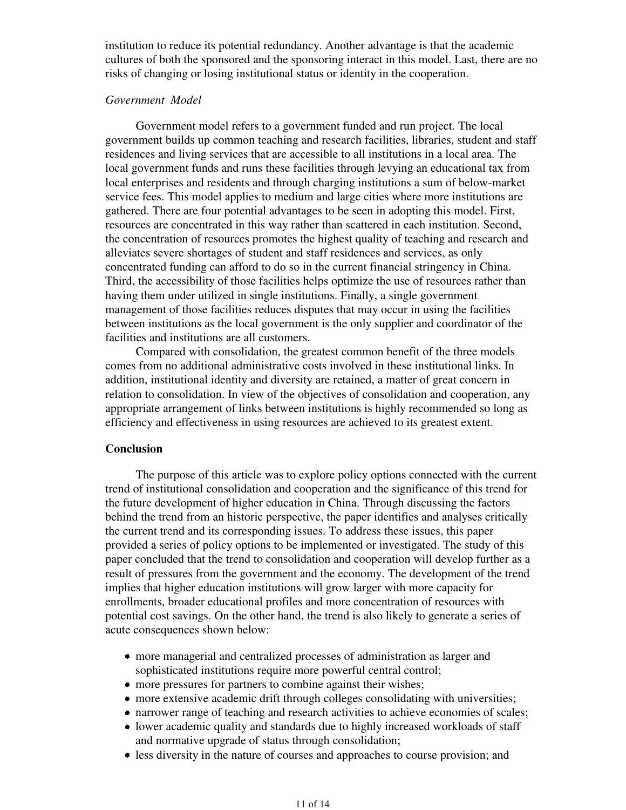institution to reduce its potential redundancy. Another advantage is that the academic cultures of both the sponsored and the sponsoring interact in this model. Last, there are no risks of changing or losing institutional status or identity in the cooperation.

## *Government Model*

Government model refers to a government funded and run project. The local government builds up common teaching and research facilities, libraries, student and staff residences and living services that are accessible to all institutions in a local area. The local government funds and runs these facilities through levying an educational tax from local enterprises and residents and through charging institutions a sum of below-market service fees. This model applies to medium and large cities where more institutions are gathered. There are four potential advantages to be seen in adopting this model. First, resources are concentrated in this way rather than scattered in each institution. Second, the concentration of resources promotes the highest quality of teaching and research and alleviates severe shortages of student and staff residences and services, as only concentrated funding can afford to do so in the current financial stringency in China. Third, the accessibility of those facilities helps optimize the use of resources rather than having them under utilized in single institutions. Finally, a single government management of those facilities reduces disputes that may occur in using the facilities between institutions as the local government is the only supplier and coordinator of the facilities and institutions are all customers.

Compared with consolidation, the greatest common benefit of the three models comes from no additional administrative costs involved in these institutional links. In addition, institutional identity and diversity are retained, a matter of great concern in relation to consolidation. In view of the objectives of consolidation and cooperation, any appropriate arrangement of links between institutions is highly recommended so long as efficiency and effectiveness in using resources are achieved to its greatest extent.

## **Conclusion**

The purpose of this article was to explore policy options connected with the current trend of institutional consolidation and cooperation and the significance of this trend for the future development of higher education in China. Through discussing the factors behind the trend from an historic perspective, the paper identifies and analyses critically the current trend and its corresponding issues. To address these issues, this paper provided a series of policy options to be implemented or investigated. The study of this paper concluded that the trend to consolidation and cooperation will develop further as a result of pressures from the government and the economy. The development of the trend implies that higher education institutions will grow larger with more capacity for enrollments, broader educational profiles and more concentration of resources with potential cost savings. On the other hand, the trend is also likely to generate a series of acute consequences shown below:

- more managerial and centralized processes of administration as larger and sophisticated institutions require more powerful central control;
- more pressures for partners to combine against their wishes;
- more extensive academic drift through colleges consolidating with universities;
- narrower range of teaching and research activities to achieve economies of scales;
- lower academic quality and standards due to highly increased workloads of staff and normative upgrade of status through consolidation;
- less diversity in the nature of courses and approaches to course provision; and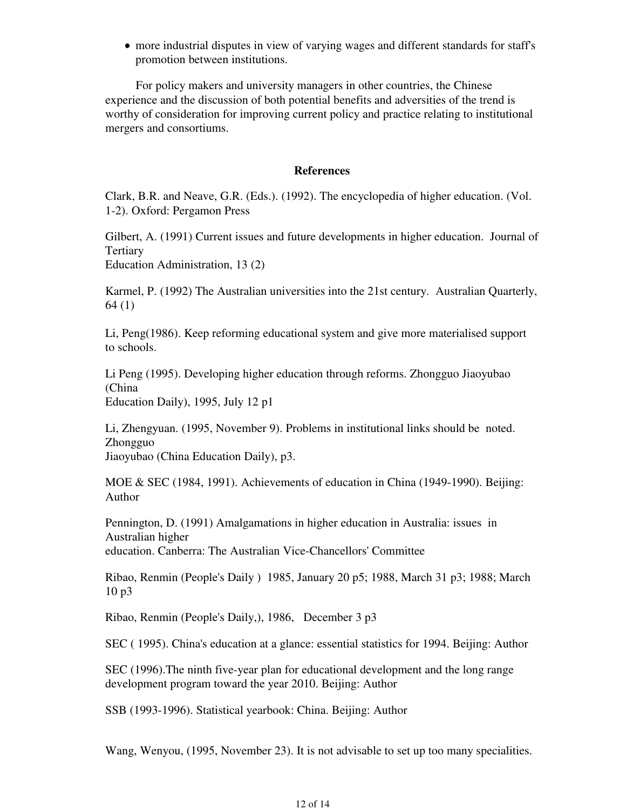more industrial disputes in view of varying wages and different standards for staff's promotion between institutions.

For policy makers and university managers in other countries, the Chinese experience and the discussion of both potential benefits and adversities of the trend is worthy of consideration for improving current policy and practice relating to institutional mergers and consortiums.

## **References**

Clark, B.R. and Neave, G.R. (Eds.). (1992). The encyclopedia of higher education. (Vol. 1-2). Oxford: Pergamon Press

Gilbert, A. (1991) Current issues and future developments in higher education. Journal of Tertiary

Education Administration, 13 (2)

Karmel, P. (1992) The Australian universities into the 21st century. Australian Quarterly, 64 (1)

Li, Peng(1986). Keep reforming educational system and give more materialised support to schools.

Li Peng (1995). Developing higher education through reforms. Zhongguo Jiaoyubao (China Education Daily), 1995, July 12 p1

Li, Zhengyuan. (1995, November 9). Problems in institutional links should be noted. Zhongguo Jiaoyubao (China Education Daily), p3.

MOE & SEC (1984, 1991). Achievements of education in China (1949-1990). Beijing: Author

Pennington, D. (1991) Amalgamations in higher education in Australia: issues in Australian higher education. Canberra: The Australian Vice-Chancellors' Committee

Ribao, Renmin (People's Daily ) 1985, January 20 p5; 1988, March 31 p3; 1988; March 10 p3

Ribao, Renmin (People's Daily,), 1986, December 3 p3

SEC ( 1995). China's education at a glance: essential statistics for 1994. Beijing: Author

SEC (1996).The ninth five-year plan for educational development and the long range development program toward the year 2010. Beijing: Author

SSB (1993-1996). Statistical yearbook: China. Beijing: Author

Wang, Wenyou, (1995, November 23). It is not advisable to set up too many specialities.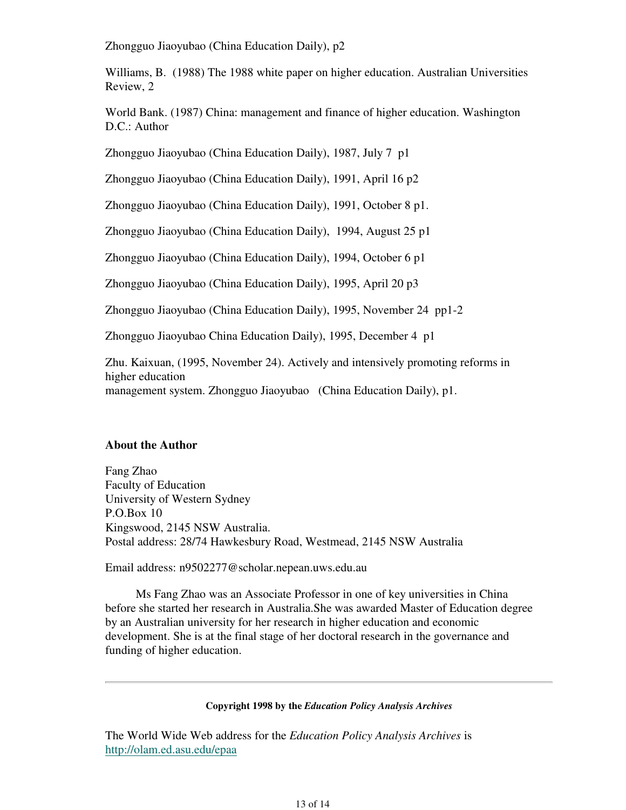Zhongguo Jiaoyubao (China Education Daily), p2

Williams, B. (1988) The 1988 white paper on higher education. Australian Universities Review, 2

World Bank. (1987) China: management and finance of higher education. Washington D.C.: Author

Zhongguo Jiaoyubao (China Education Daily), 1987, July 7 p1

Zhongguo Jiaoyubao (China Education Daily), 1991, April 16 p2

Zhongguo Jiaoyubao (China Education Daily), 1991, October 8 p1.

Zhongguo Jiaoyubao (China Education Daily), 1994, August 25 p1

Zhongguo Jiaoyubao (China Education Daily), 1994, October 6 p1

Zhongguo Jiaoyubao (China Education Daily), 1995, April 20 p3

Zhongguo Jiaoyubao (China Education Daily), 1995, November 24 pp1-2

Zhongguo Jiaoyubao China Education Daily), 1995, December 4 p1

Zhu. Kaixuan, (1995, November 24). Actively and intensively promoting reforms in higher education management system. Zhongguo Jiaoyubao (China Education Daily), p1.

## **About the Author**

Fang Zhao Faculty of Education University of Western Sydney P.O.Box 10 Kingswood, 2145 NSW Australia. Postal address: 28/74 Hawkesbury Road, Westmead, 2145 NSW Australia

Email address: n9502277@scholar.nepean.uws.edu.au

Ms Fang Zhao was an Associate Professor in one of key universities in China before she started her research in Australia.She was awarded Master of Education degree by an Australian university for her research in higher education and economic development. She is at the final stage of her doctoral research in the governance and funding of higher education.

#### **Copyright 1998 by the** *Education Policy Analysis Archives*

The World Wide Web address for the *Education Policy Analysis Archives* is http://olam.ed.asu.edu/epaa